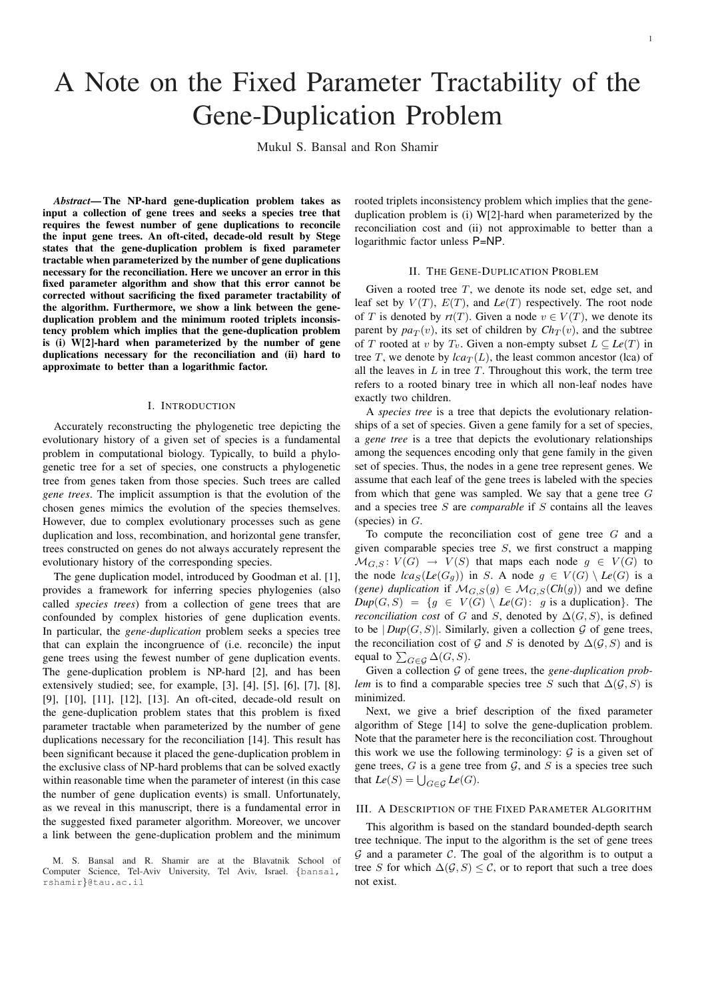# A Note on the Fixed Parameter Tractability of the Gene-Duplication Problem

Mukul S. Bansal and Ron Shamir

*Abstract*— The NP-hard gene-duplication problem takes as input a collection of gene trees and seeks a species tree that requires the fewest number of gene duplications to reconcile the input gene trees. An oft-cited, decade-old result by Stege states that the gene-duplication problem is fixed parameter tractable when parameterized by the number of gene duplications necessary for the reconciliation. Here we uncover an error in this fixed parameter algorithm and show that this error cannot be corrected without sacrificing the fixed parameter tractability of the algorithm. Furthermore, we show a link between the geneduplication problem and the minimum rooted triplets inconsistency problem which implies that the gene-duplication problem is (i) W[2]-hard when parameterized by the number of gene duplications necessary for the reconciliation and (ii) hard to approximate to better than a logarithmic factor.

#### I. INTRODUCTION

Accurately reconstructing the phylogenetic tree depicting the evolutionary history of a given set of species is a fundamental problem in computational biology. Typically, to build a phylogenetic tree for a set of species, one constructs a phylogenetic tree from genes taken from those species. Such trees are called *gene trees*. The implicit assumption is that the evolution of the chosen genes mimics the evolution of the species themselves. However, due to complex evolutionary processes such as gene duplication and loss, recombination, and horizontal gene transfer, trees constructed on genes do not always accurately represent the evolutionary history of the corresponding species.

The gene duplication model, introduced by Goodman et al. [1], provides a framework for inferring species phylogenies (also called *species trees*) from a collection of gene trees that are confounded by complex histories of gene duplication events. In particular, the *gene-duplication* problem seeks a species tree that can explain the incongruence of (i.e. reconcile) the input gene trees using the fewest number of gene duplication events. The gene-duplication problem is NP-hard [2], and has been extensively studied; see, for example, [3], [4], [5], [6], [7], [8], [9], [10], [11], [12], [13]. An oft-cited, decade-old result on the gene-duplication problem states that this problem is fixed parameter tractable when parameterized by the number of gene duplications necessary for the reconciliation [14]. This result has been significant because it placed the gene-duplication problem in the exclusive class of NP-hard problems that can be solved exactly within reasonable time when the parameter of interest (in this case the number of gene duplication events) is small. Unfortunately, as we reveal in this manuscript, there is a fundamental error in the suggested fixed parameter algorithm. Moreover, we uncover a link between the gene-duplication problem and the minimum

rooted triplets inconsistency problem which implies that the geneduplication problem is (i) W[2]-hard when parameterized by the reconciliation cost and (ii) not approximable to better than a logarithmic factor unless P=NP.

#### II. THE GENE-DUPLICATION PROBLEM

Given a rooted tree  $T$ , we denote its node set, edge set, and leaf set by  $V(T)$ ,  $E(T)$ , and  $Le(T)$  respectively. The root node of T is denoted by  $rt(T)$ . Given a node  $v \in V(T)$ , we denote its parent by  $pa_T(v)$ , its set of children by  $Ch_T(v)$ , and the subtree of T rooted at v by  $T_v$ . Given a non-empty subset  $L \subseteq Le(T)$  in tree T, we denote by  $lca_T(L)$ , the least common ancestor (lca) of all the leaves in  $L$  in tree  $T$ . Throughout this work, the term tree refers to a rooted binary tree in which all non-leaf nodes have exactly two children.

A *species tree* is a tree that depicts the evolutionary relationships of a set of species. Given a gene family for a set of species, a *gene tree* is a tree that depicts the evolutionary relationships among the sequences encoding only that gene family in the given set of species. Thus, the nodes in a gene tree represent genes. We assume that each leaf of the gene trees is labeled with the species from which that gene was sampled. We say that a gene tree G and a species tree S are *comparable* if S contains all the leaves (species) in  $G$ .

To compute the reconciliation cost of gene tree G and a given comparable species tree  $S$ , we first construct a mapping  $\mathcal{M}_{G,S} : V(G) \rightarrow V(S)$  that maps each node  $g \in V(G)$  to the node  $lca_S(Le(G_g))$  in S. A node  $g \in V(G) \setminus Le(G)$  is a *(gene) duplication* if  $\mathcal{M}_{G,S}(g) \in \mathcal{M}_{G,S}(Ch(g))$  and we define  $Dup(G, S) = \{g \in V(G) \setminus Le(G): g \text{ is a duplication}\}.$  The *reconciliation cost* of G and S, denoted by  $\Delta(G, S)$ , is defined to be  $|Dup(G, S)|$ . Similarly, given a collection  $G$  of gene trees, the reconciliation cost of G and S is denoted by  $\Delta(G, S)$  and is equal to  $\sum_{G \in \mathcal{G}} \Delta(G, S)$ .

Given a collection G of gene trees, the *gene-duplication problem* is to find a comparable species tree S such that  $\Delta(G, S)$  is minimized.

Next, we give a brief description of the fixed parameter algorithm of Stege [14] to solve the gene-duplication problem. Note that the parameter here is the reconciliation cost. Throughout this work we use the following terminology:  $G$  is a given set of gene trees,  $G$  is a gene tree from  $G$ , and  $S$  is a species tree such that  $Le(S) = \bigcup_{G \in \mathcal{G}} Le(G)$ .

## III. A DESCRIPTION OF THE FIXED PARAMETER ALGORITHM

This algorithm is based on the standard bounded-depth search tree technique. The input to the algorithm is the set of gene trees  $G$  and a parameter  $C$ . The goal of the algorithm is to output a tree S for which  $\Delta(G, S) \leq C$ , or to report that such a tree does not exist.

M. S. Bansal and R. Shamir are at the Blavatnik School of Computer Science, Tel-Aviv University, Tel Aviv, Israel. {bansal, rshamir}@tau.ac.il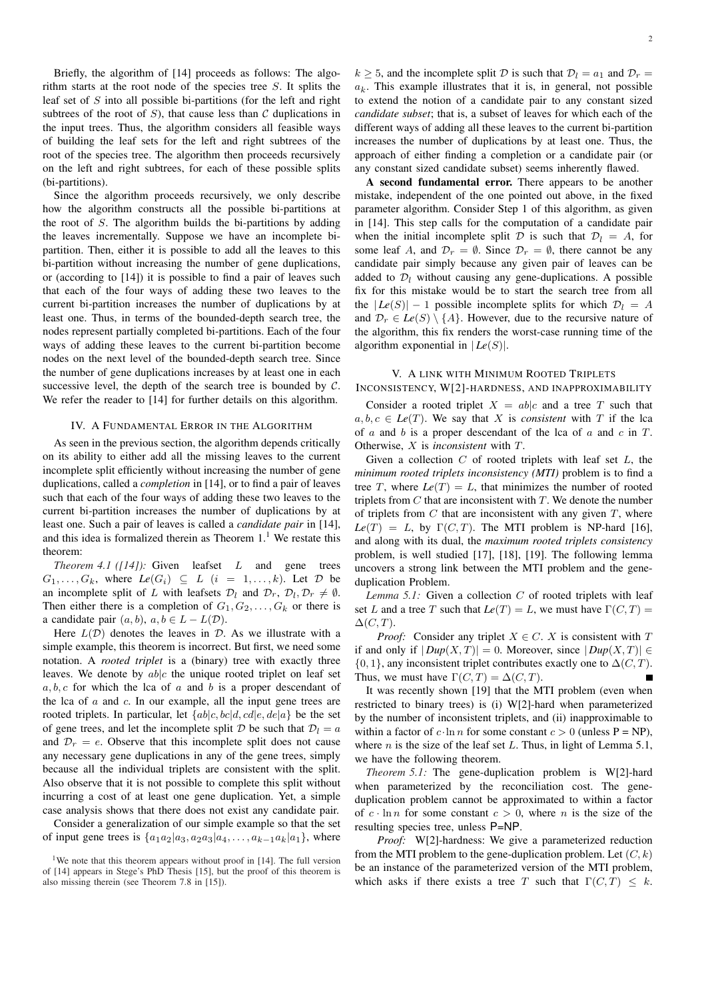Briefly, the algorithm of [14] proceeds as follows: The algorithm starts at the root node of the species tree S. It splits the leaf set of  $S$  into all possible bi-partitions (for the left and right subtrees of the root of  $S$ ), that cause less than  $C$  duplications in the input trees. Thus, the algorithm considers all feasible ways of building the leaf sets for the left and right subtrees of the root of the species tree. The algorithm then proceeds recursively on the left and right subtrees, for each of these possible splits (bi-partitions).

Since the algorithm proceeds recursively, we only describe how the algorithm constructs all the possible bi-partitions at the root of S. The algorithm builds the bi-partitions by adding the leaves incrementally. Suppose we have an incomplete bipartition. Then, either it is possible to add all the leaves to this bi-partition without increasing the number of gene duplications, or (according to [14]) it is possible to find a pair of leaves such that each of the four ways of adding these two leaves to the current bi-partition increases the number of duplications by at least one. Thus, in terms of the bounded-depth search tree, the nodes represent partially completed bi-partitions. Each of the four ways of adding these leaves to the current bi-partition become nodes on the next level of the bounded-depth search tree. Since the number of gene duplications increases by at least one in each successive level, the depth of the search tree is bounded by  $C$ . We refer the reader to [14] for further details on this algorithm.

## IV. A FUNDAMENTAL ERROR IN THE ALGORITHM

As seen in the previous section, the algorithm depends critically on its ability to either add all the missing leaves to the current incomplete split efficiently without increasing the number of gene duplications, called a *completion* in [14], or to find a pair of leaves such that each of the four ways of adding these two leaves to the current bi-partition increases the number of duplications by at least one. Such a pair of leaves is called a *candidate pair* in [14], and this idea is formalized therein as Theorem  $1<sup>1</sup>$  We restate this theorem:

*Theorem 4.1 ([14]):* Given leafset L and gene trees  $G_1, \ldots, G_k$ , where  $Le(G_i) \subseteq L$  (i = 1,...,k). Let  $D$  be an incomplete split of L with leafsets  $\mathcal{D}_l$  and  $\mathcal{D}_r$ ,  $\mathcal{D}_l$ ,  $\mathcal{D}_r \neq \emptyset$ . Then either there is a completion of  $G_1, G_2, \ldots, G_k$  or there is a candidate pair  $(a, b)$ ,  $a, b \in L - L(\mathcal{D})$ .

Here  $L(\mathcal{D})$  denotes the leaves in  $\mathcal{D}$ . As we illustrate with a simple example, this theorem is incorrect. But first, we need some notation. A *rooted triplet* is a (binary) tree with exactly three leaves. We denote by  $ab|c$  the unique rooted triplet on leaf set  $a, b, c$  for which the lca of a and b is a proper descendant of the lca of  $a$  and  $c$ . In our example, all the input gene trees are rooted triplets. In particular, let  $\{ab|c, bc|d, cd|e, de|a\}$  be the set of gene trees, and let the incomplete split D be such that  $\mathcal{D}_l = a$ and  $\mathcal{D}_r = e$ . Observe that this incomplete split does not cause any necessary gene duplications in any of the gene trees, simply because all the individual triplets are consistent with the split. Also observe that it is not possible to complete this split without incurring a cost of at least one gene duplication. Yet, a simple case analysis shows that there does not exist any candidate pair.

Consider a generalization of our simple example so that the set of input gene trees is  $\{a_1a_2|a_3, a_2a_3|a_4, \ldots, a_{k-1}a_k|a_1\}$ , where  $k > 5$ , and the incomplete split D is such that  $\mathcal{D}_l = a_1$  and  $\mathcal{D}_r =$  $a_k$ . This example illustrates that it is, in general, not possible to extend the notion of a candidate pair to any constant sized *candidate subset*; that is, a subset of leaves for which each of the different ways of adding all these leaves to the current bi-partition increases the number of duplications by at least one. Thus, the approach of either finding a completion or a candidate pair (or any constant sized candidate subset) seems inherently flawed.

A second fundamental error. There appears to be another mistake, independent of the one pointed out above, in the fixed parameter algorithm. Consider Step 1 of this algorithm, as given in [14]. This step calls for the computation of a candidate pair when the initial incomplete split D is such that  $\mathcal{D}_l = A$ , for some leaf A, and  $\mathcal{D}_r = \emptyset$ . Since  $\mathcal{D}_r = \emptyset$ , there cannot be any candidate pair simply because any given pair of leaves can be added to  $\mathcal{D}_l$  without causing any gene-duplications. A possible fix for this mistake would be to start the search tree from all the  $|Le(S)| - 1$  possible incomplete splits for which  $\mathcal{D}_l = A$ and  $\mathcal{D}_r \in \text{Le}(S) \setminus \{A\}$ . However, due to the recursive nature of the algorithm, this fix renders the worst-case running time of the algorithm exponential in  $|Le(S)|$ .

## V. A LINK WITH MINIMUM ROOTED TRIPLETS INCONSISTENCY, W[2]-HARDNESS, AND INAPPROXIMABILITY

Consider a rooted triplet  $X = ab|c$  and a tree T such that  $a, b, c \in Le(T)$ . We say that X is *consistent* with T if the lca of  $\alpha$  and  $\beta$  is a proper descendant of the lca of  $\alpha$  and  $\alpha$  in  $T$ . Otherwise, X is *inconsistent* with T.

Given a collection  $C$  of rooted triplets with leaf set  $L$ , the *minimum rooted triplets inconsistency (MTI)* problem is to find a tree  $T$ , where  $Le(T) = L$ , that minimizes the number of rooted triplets from  $C$  that are inconsistent with  $T$ . We denote the number of triplets from  $C$  that are inconsistent with any given  $T$ , where  $Le(T) = L$ , by  $\Gamma(C, T)$ . The MTI problem is NP-hard [16], and along with its dual, the *maximum rooted triplets consistency* problem, is well studied [17], [18], [19]. The following lemma uncovers a strong link between the MTI problem and the geneduplication Problem.

*Lemma 5.1:* Given a collection C of rooted triplets with leaf set L and a tree T such that  $Le(T) = L$ , we must have  $\Gamma(C, T) =$  $\Delta(C,T)$ .

*Proof:* Consider any triplet  $X \in C$ . X is consistent with T if and only if  $|Dup(X,T)| = 0$ . Moreover, since  $|Dup(X,T)| \in$  $\{0, 1\}$ , any inconsistent triplet contributes exactly one to  $\Delta(C, T)$ . Thus, we must have  $\Gamma(C, T) = \Delta(C, T)$ .

It was recently shown [19] that the MTI problem (even when restricted to binary trees) is (i) W[2]-hard when parameterized by the number of inconsistent triplets, and (ii) inapproximable to within a factor of  $c \cdot \ln n$  for some constant  $c > 0$  (unless P = NP), where *n* is the size of the leaf set  $L$ . Thus, in light of Lemma 5.1, we have the following theorem.

*Theorem 5.1:* The gene-duplication problem is W[2]-hard when parameterized by the reconciliation cost. The geneduplication problem cannot be approximated to within a factor of  $c \cdot \ln n$  for some constant  $c > 0$ , where n is the size of the resulting species tree, unless P=NP.

*Proof:* W[2]-hardness: We give a parameterized reduction from the MTI problem to the gene-duplication problem. Let  $(C, k)$ be an instance of the parameterized version of the MTI problem, which asks if there exists a tree T such that  $\Gamma(C, T) \leq k$ .

<sup>&</sup>lt;sup>1</sup>We note that this theorem appears without proof in [14]. The full version of [14] appears in Stege's PhD Thesis [15], but the proof of this theorem is also missing therein (see Theorem 7.8 in [15]).